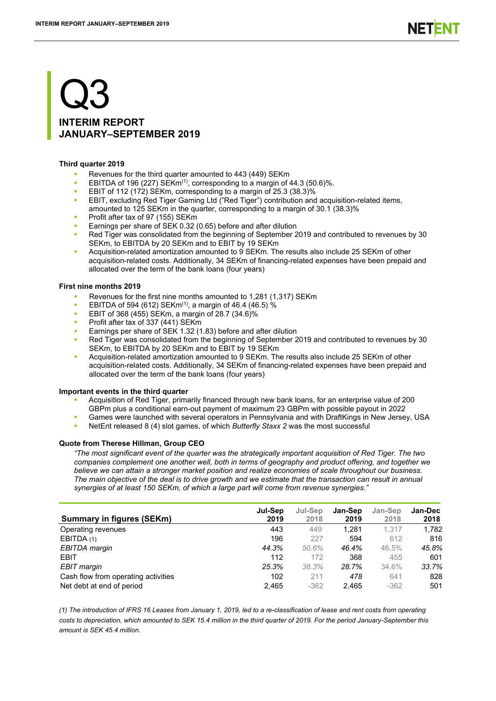# Q3 **INTERIM REPORT JANUARY–SEPTEMBER 2019**

## **Third quarter 2019**

- Revenues for the third quarter amounted to 443 (449) SEKm
- **EBITDA** of 196 (227) SEKm<sup>(1)</sup>, corresponding to a margin of 44.3 (50.6)%.
- EBIT of 112 (172) SEKm, corresponding to a margin of 25.3 (38.3)%
- EBIT, excluding Red Tiger Gaming Ltd ("Red Tiger") contribution and acquisition-related items, amounted to 125 SEKm in the quarter, corresponding to a margin of 30.1 (38.3)%
- Profit after tax of 97 (155) SEKm
- Earnings per share of SEK 0.32 (0.65) before and after dilution
- Red Tiger was consolidated from the beginning of September 2019 and contributed to revenues by 30 SEKm, to EBITDA by 20 SEKm and to EBIT by 19 SEKm
- Acquisition-related amortization amounted to 9 SEKm. The results also include 25 SEKm of other acquisition-related costs. Additionally, 34 SEKm of financing-related expenses have been prepaid and allocated over the term of the bank loans (four years)

## **First nine months 2019**

- Revenues for the first nine months amounted to 1,281 (1,317) SEKm
- **EBITDA of 594 (612) SEKm<sup>(1)</sup>, a margin of 46.4 (46.5) %**
- **EBIT of 368 (455) SEKm, a margin of 28.7 (34.6)%**
- Profit after tax of 337 (441) SEKm
- Earnings per share of SEK 1.32 (1.83) before and after dilution
- Red Tiger was consolidated from the beginning of September 2019 and contributed to revenues by 30 SEKm, to EBITDA by 20 SEKm and to EBIT by 19 SEKm
- Acquisition-related amortization amounted to 9 SEKm. The results also include 25 SEKm of other acquisition-related costs. Additionally, 34 SEKm of financing-related expenses have been prepaid and allocated over the term of the bank loans (four years)

## **Important events in the third quarter**

- Acquisition of Red Tiger, primarily financed through new bank loans, for an enterprise value of 200 GBPm plus a conditional earn-out payment of maximum 23 GBPm with possible payout in 2022
- Games were launched with several operators in Pennsylvania and with DraftKings in New Jersey, USA
- NetEnt released 8 (4) slot games, of which *Butterfly Staxx 2* was the most successful

## **Quote from Therese Hillman, Group CEO**

*"The most significant event of the quarter was the strategically important acquisition of Red Tiger. The two companies complement one another well, both in terms of geography and product offering, and together we believe we can attain a stronger market position and realize economies of scale throughout our business. The main objective of the deal is to drive growth and we estimate that the transaction can result in annual synergies of at least 150 SEKm, of which a large part will come from revenue synergies."*

| <b>Summary in figures (SEKm)</b>    | Jul-Sep<br>2019 | Jul-Sep<br>2018 | Jan-Sep<br>2019 | Jan-Sep<br>2018 | Jan-Dec<br>2018 |
|-------------------------------------|-----------------|-----------------|-----------------|-----------------|-----------------|
| Operating revenues                  | 443             | 449             | 1.281           | 1.317           | 1,782           |
| EBITDA (1)                          | 196             | 227             | 594             | 612             | 816             |
| EBITDA margin                       | 44.3%           | 50.6%           | 46.4%           | 46.5%           | 45.8%           |
| <b>EBIT</b>                         | 112             | 172             | 368             | 455             | 601             |
| EBIT margin                         | 25.3%           | 38.3%           | 28.7%           | 34.6%           | 33.7%           |
| Cash flow from operating activities | 102             | 211             | 478             | 641             | 828             |
| Net debt at end of period           | 2.465           | $-362$          | 2.465           | $-362$          | 501             |

*(1) The introduction of IFRS 16 Leases from January 1, 2019, led to a re-classification of lease and rent costs from operating costs to depreciation, which amounted to SEK 15.4 million in the third quarter of 2019. For the period January-September this amount is SEK 45.4 million.*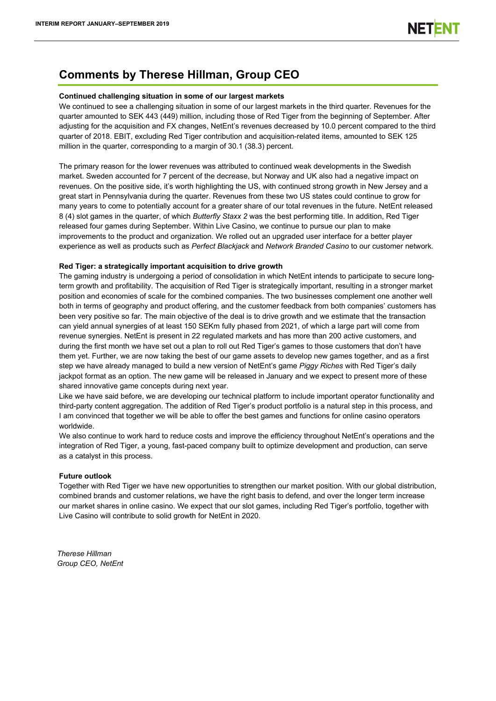# **Comments by Therese Hillman, Group CEO**

## **Continued challenging situation in some of our largest markets**

We continued to see a challenging situation in some of our largest markets in the third quarter. Revenues for the quarter amounted to SEK 443 (449) million, including those of Red Tiger from the beginning of September. After adjusting for the acquisition and FX changes, NetEnt's revenues decreased by 10.0 percent compared to the third quarter of 2018. EBIT, excluding Red Tiger contribution and acquisition-related items, amounted to SEK 125 million in the quarter, corresponding to a margin of 30.1 (38.3) percent.

The primary reason for the lower revenues was attributed to continued weak developments in the Swedish market. Sweden accounted for 7 percent of the decrease, but Norway and UK also had a negative impact on revenues. On the positive side, it's worth highlighting the US, with continued strong growth in New Jersey and a great start in Pennsylvania during the quarter. Revenues from these two US states could continue to grow for many years to come to potentially account for a greater share of our total revenues in the future. NetEnt released 8 (4) slot games in the quarter, of which *Butterfly Staxx 2* was the best performing title. In addition, Red Tiger released four games during September. Within Live Casino, we continue to pursue our plan to make improvements to the product and organization. We rolled out an upgraded user interface for a better player experience as well as products such as *Perfect Blackjack* and *Network Branded Casino* to our customer network*.* 

## **Red Tiger: a strategically important acquisition to drive growth**

The gaming industry is undergoing a period of consolidation in which NetEnt intends to participate to secure longterm growth and profitability. The acquisition of Red Tiger is strategically important, resulting in a stronger market position and economies of scale for the combined companies. The two businesses complement one another well both in terms of geography and product offering, and the customer feedback from both companies' customers has been very positive so far. The main objective of the deal is to drive growth and we estimate that the transaction can yield annual synergies of at least 150 SEKm fully phased from 2021, of which a large part will come from revenue synergies. NetEnt is present in 22 regulated markets and has more than 200 active customers, and during the first month we have set out a plan to roll out Red Tiger's games to those customers that don't have them yet. Further, we are now taking the best of our game assets to develop new games together, and as a first step we have already managed to build a new version of NetEnt's game *Piggy Riches* with Red Tiger's daily jackpot format as an option. The new game will be released in January and we expect to present more of these shared innovative game concepts during next year.

Like we have said before, we are developing our technical platform to include important operator functionality and third-party content aggregation. The addition of Red Tiger's product portfolio is a natural step in this process, and I am convinced that together we will be able to offer the best games and functions for online casino operators worldwide.

We also continue to work hard to reduce costs and improve the efficiency throughout NetEnt's operations and the integration of Red Tiger, a young, fast-paced company built to optimize development and production, can serve as a catalyst in this process.

## **Future outlook**

Together with Red Tiger we have new opportunities to strengthen our market position. With our global distribution, combined brands and customer relations, we have the right basis to defend, and over the longer term increase our market shares in online casino. We expect that our slot games, including Red Tiger's portfolio, together with Live Casino will contribute to solid growth for NetEnt in 2020.

*Therese Hillman Group CEO, NetEnt*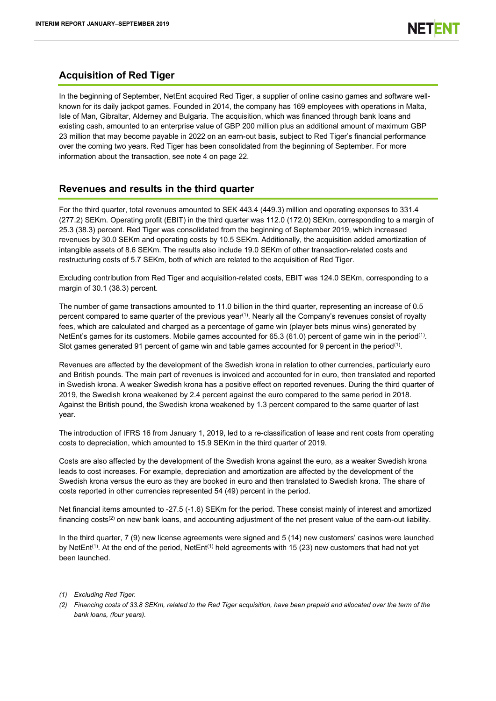# **Acquisition of Red Tiger**

In the beginning of September, NetEnt acquired Red Tiger, a supplier of online casino games and software wellknown for its daily jackpot games. Founded in 2014, the company has 169 employees with operations in Malta, Isle of Man, Gibraltar, Alderney and Bulgaria. The acquisition, which was financed through bank loans and existing cash, amounted to an enterprise value of GBP 200 million plus an additional amount of maximum GBP 23 million that may become payable in 2022 on an earn-out basis, subject to Red Tiger's financial performance over the coming two years. Red Tiger has been consolidated from the beginning of September. For more information about the transaction, see note 4 on page 22.

# **Revenues and results in the third quarter**

For the third quarter, total revenues amounted to SEK 443.4 (449.3) million and operating expenses to 331.4 (277.2) SEKm. Operating profit (EBIT) in the third quarter was 112.0 (172.0) SEKm, corresponding to a margin of 25.3 (38.3) percent. Red Tiger was consolidated from the beginning of September 2019, which increased revenues by 30.0 SEKm and operating costs by 10.5 SEKm. Additionally, the acquisition added amortization of intangible assets of 8.6 SEKm. The results also include 19.0 SEKm of other transaction-related costs and restructuring costs of 5.7 SEKm, both of which are related to the acquisition of Red Tiger.

Excluding contribution from Red Tiger and acquisition-related costs, EBIT was 124.0 SEKm, corresponding to a margin of 30.1 (38.3) percent.

The number of game transactions amounted to 11.0 billion in the third quarter, representing an increase of 0.5 percent compared to same quarter of the previous year<sup>(1)</sup>. Nearly all the Company's revenues consist of royalty fees, which are calculated and charged as a percentage of game win (player bets minus wins) generated by NetEnt's games for its customers. Mobile games accounted for 65.3 (61.0) percent of game win in the period(1). Slot games generated 91 percent of game win and table games accounted for 9 percent in the period<sup>(1)</sup>.

Revenues are affected by the development of the Swedish krona in relation to other currencies, particularly euro and British pounds. The main part of revenues is invoiced and accounted for in euro, then translated and reported in Swedish krona. A weaker Swedish krona has a positive effect on reported revenues. During the third quarter of 2019, the Swedish krona weakened by 2.4 percent against the euro compared to the same period in 2018. Against the British pound, the Swedish krona weakened by 1.3 percent compared to the same quarter of last year.

The introduction of IFRS 16 from January 1, 2019, led to a re-classification of lease and rent costs from operating costs to depreciation, which amounted to 15.9 SEKm in the third quarter of 2019.

Costs are also affected by the development of the Swedish krona against the euro, as a weaker Swedish krona leads to cost increases. For example, depreciation and amortization are affected by the development of the Swedish krona versus the euro as they are booked in euro and then translated to Swedish krona. The share of costs reported in other currencies represented 54 (49) percent in the period.

Net financial items amounted to -27.5 (-1.6) SEKm for the period. These consist mainly of interest and amortized financing costs<sup>(2)</sup> on new bank loans, and accounting adjustment of the net present value of the earn-out liability.

In the third quarter, 7 (9) new license agreements were signed and 5 (14) new customers' casinos were launched by NetEnt<sup>(1)</sup>. At the end of the period, NetEnt<sup>(1)</sup> held agreements with 15 (23) new customers that had not yet been launched.

- *(1) Excluding Red Tiger.*
- *(2) Financing costs of 33.8 SEKm, related to the Red Tiger acquisition, have been prepaid and allocated over the term of the bank loans, (four years).*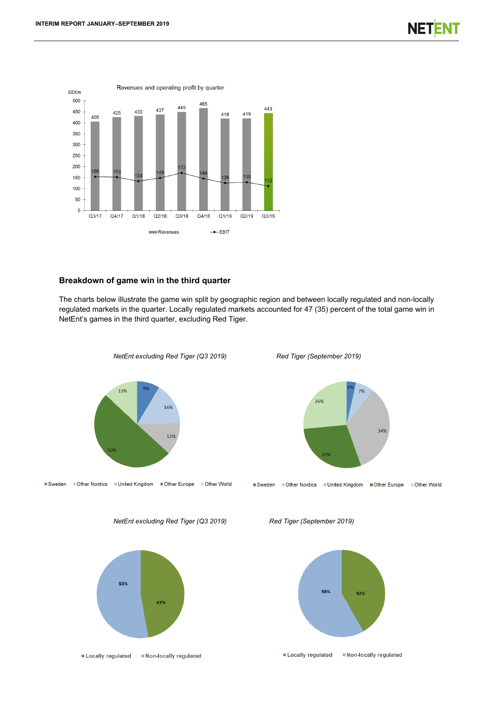

## **Breakdown of game win in the third quarter**

The charts below illustrate the game win split by geographic region and between locally regulated and non-locally regulated markets in the quarter. Locally regulated markets accounted for 47 (35) percent of the total game win in NetEnt's games in the third quarter, excluding Red Tiger.





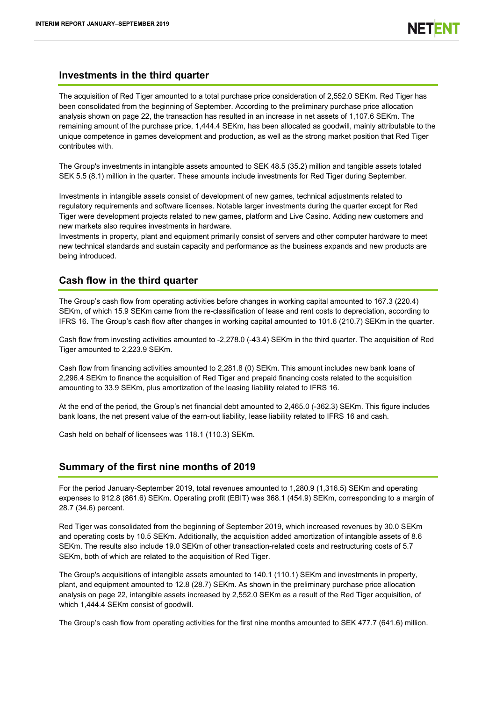## **Investments in the third quarter**

The acquisition of Red Tiger amounted to a total purchase price consideration of 2,552.0 SEKm. Red Tiger has been consolidated from the beginning of September. According to the preliminary purchase price allocation analysis shown on page 22, the transaction has resulted in an increase in net assets of 1,107.6 SEKm. The remaining amount of the purchase price, 1,444.4 SEKm, has been allocated as goodwill, mainly attributable to the unique competence in games development and production, as well as the strong market position that Red Tiger contributes with.

The Group's investments in intangible assets amounted to SEK 48.5 (35.2) million and tangible assets totaled SEK 5.5 (8.1) million in the quarter. These amounts include investments for Red Tiger during September.

Investments in intangible assets consist of development of new games, technical adjustments related to regulatory requirements and software licenses. Notable larger investments during the quarter except for Red Tiger were development projects related to new games, platform and Live Casino. Adding new customers and new markets also requires investments in hardware.

Investments in property, plant and equipment primarily consist of servers and other computer hardware to meet new technical standards and sustain capacity and performance as the business expands and new products are being introduced.

# **Cash flow in the third quarter**

The Group's cash flow from operating activities before changes in working capital amounted to 167.3 (220.4) SEKm, of which 15.9 SEKm came from the re-classification of lease and rent costs to depreciation, according to IFRS 16. The Group's cash flow after changes in working capital amounted to 101.6 (210.7) SEKm in the quarter.

Cash flow from investing activities amounted to -2,278.0 (-43.4) SEKm in the third quarter. The acquisition of Red Tiger amounted to 2,223.9 SEKm.

Cash flow from financing activities amounted to 2,281.8 (0) SEKm. This amount includes new bank loans of 2,296.4 SEKm to finance the acquisition of Red Tiger and prepaid financing costs related to the acquisition amounting to 33.9 SEKm, plus amortization of the leasing liability related to IFRS 16.

At the end of the period, the Group's net financial debt amounted to 2,465.0 (-362.3) SEKm. This figure includes bank loans, the net present value of the earn-out liability, lease liability related to IFRS 16 and cash.

Cash held on behalf of licensees was 118.1 (110.3) SEKm.

# **Summary of the first nine months of 2019**

For the period January-September 2019, total revenues amounted to 1,280.9 (1,316.5) SEKm and operating expenses to 912.8 (861.6) SEKm. Operating profit (EBIT) was 368.1 (454.9) SEKm, corresponding to a margin of 28.7 (34.6) percent.

Red Tiger was consolidated from the beginning of September 2019, which increased revenues by 30.0 SEKm and operating costs by 10.5 SEKm. Additionally, the acquisition added amortization of intangible assets of 8.6 SEKm. The results also include 19.0 SEKm of other transaction-related costs and restructuring costs of 5.7 SEKm, both of which are related to the acquisition of Red Tiger.

The Group's acquisitions of intangible assets amounted to 140.1 (110.1) SEKm and investments in property, plant, and equipment amounted to 12.8 (28.7) SEKm. As shown in the preliminary purchase price allocation analysis on page 22, intangible assets increased by 2,552.0 SEKm as a result of the Red Tiger acquisition, of which 1,444.4 SEKm consist of goodwill.

The Group's cash flow from operating activities for the first nine months amounted to SEK 477.7 (641.6) million.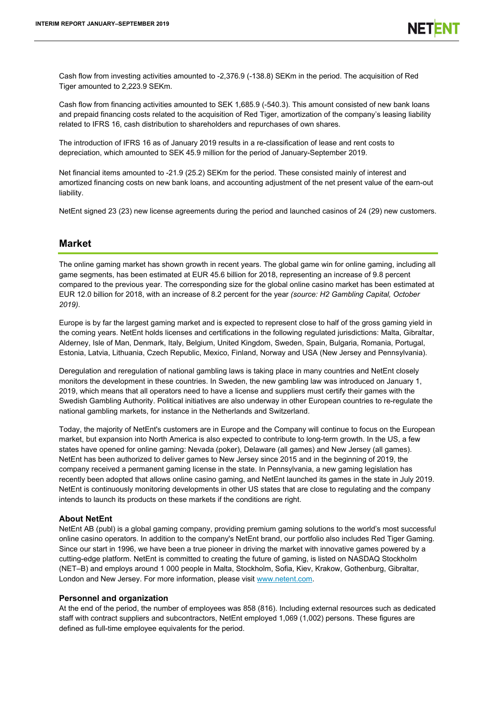Cash flow from investing activities amounted to -2,376.9 (-138.8) SEKm in the period. The acquisition of Red Tiger amounted to 2,223.9 SEKm.

Cash flow from financing activities amounted to SEK 1,685.9 (-540.3). This amount consisted of new bank loans and prepaid financing costs related to the acquisition of Red Tiger, amortization of the company's leasing liability related to IFRS 16, cash distribution to shareholders and repurchases of own shares.

The introduction of IFRS 16 as of January 2019 results in a re-classification of lease and rent costs to depreciation, which amounted to SEK 45.9 million for the period of January-September 2019.

Net financial items amounted to -21.9 (25.2) SEKm for the period. These consisted mainly of interest and amortized financing costs on new bank loans, and accounting adjustment of the net present value of the earn-out liability.

NetEnt signed 23 (23) new license agreements during the period and launched casinos of 24 (29) new customers.

## **Market**

The online gaming market has shown growth in recent years. The global game win for online gaming, including all game segments, has been estimated at EUR 45.6 billion for 2018, representing an increase of 9.8 percent compared to the previous year. The corresponding size for the global online casino market has been estimated at EUR 12.0 billion for 2018, with an increase of 8.2 percent for the year *(source: H2 Gambling Capital, October 2019)*.

Europe is by far the largest gaming market and is expected to represent close to half of the gross gaming yield in the coming years. NetEnt holds licenses and certifications in the following regulated jurisdictions: Malta, Gibraltar, Alderney, Isle of Man, Denmark, Italy, Belgium, United Kingdom, Sweden, Spain, Bulgaria, Romania, Portugal, Estonia, Latvia, Lithuania, Czech Republic, Mexico, Finland, Norway and USA (New Jersey and Pennsylvania).

Deregulation and reregulation of national gambling laws is taking place in many countries and NetEnt closely monitors the development in these countries. In Sweden, the new gambling law was introduced on January 1, 2019, which means that all operators need to have a license and suppliers must certify their games with the Swedish Gambling Authority. Political initiatives are also underway in other European countries to re-regulate the national gambling markets, for instance in the Netherlands and Switzerland.

Today, the majority of NetEnt's customers are in Europe and the Company will continue to focus on the European market, but expansion into North America is also expected to contribute to long-term growth. In the US, a few states have opened for online gaming: Nevada (poker), Delaware (all games) and New Jersey (all games). NetEnt has been authorized to deliver games to New Jersey since 2015 and in the beginning of 2019, the company received a permanent gaming license in the state. In Pennsylvania, a new gaming legislation has recently been adopted that allows online casino gaming, and NetEnt launched its games in the state in July 2019. NetEnt is continuously monitoring developments in other US states that are close to regulating and the company intends to launch its products on these markets if the conditions are right.

## **About NetEnt**

NetEnt AB (publ) is a global gaming company, providing premium gaming solutions to the world's most successful online casino operators. In addition to the company's NetEnt brand, our portfolio also includes Red Tiger Gaming. Since our start in 1996, we have been a true pioneer in driving the market with innovative games powered by a cutting-edge platform. NetEnt is committed to creating the future of gaming, is listed on NASDAQ Stockholm (NET–B) and employs around 1 000 people in Malta, Stockholm, Sofia, Kiev, Krakow, Gothenburg, Gibraltar, London and New Jersey. For more information, please visit [www.netent.com.](file://office.necorp.dom/departments$/Investor-Relations/private/IR/IR/Kvartalsrapporter/2016/Q1/www.netent.com)

## **Personnel and organization**

At the end of the period, the number of employees was 858 (816). Including external resources such as dedicated staff with contract suppliers and subcontractors, NetEnt employed 1,069 (1,002) persons. These figures are defined as full-time employee equivalents for the period.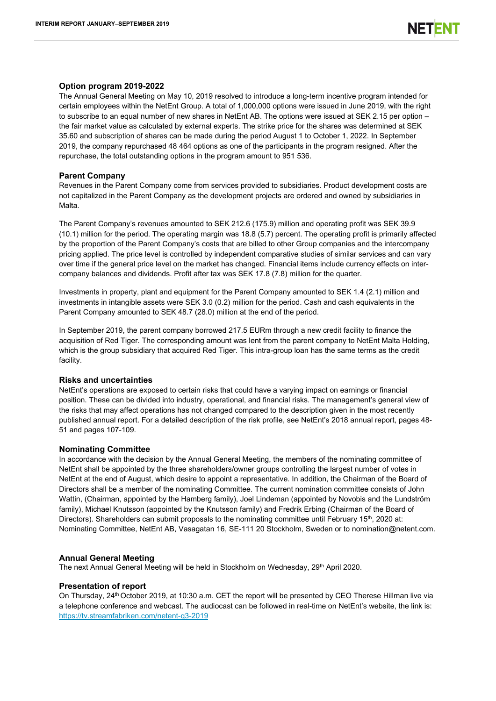## **Option program 2019-2022**

The Annual General Meeting on May 10, 2019 resolved to introduce a long-term incentive program intended for certain employees within the NetEnt Group. A total of 1,000,000 options were issued in June 2019, with the right to subscribe to an equal number of new shares in NetEnt AB. The options were issued at SEK 2.15 per option – the fair market value as calculated by external experts. The strike price for the shares was determined at SEK 35.60 and subscription of shares can be made during the period August 1 to October 1, 2022. In September 2019, the company repurchased 48 464 options as one of the participants in the program resigned. After the repurchase, the total outstanding options in the program amount to 951 536.

## **Parent Company**

Revenues in the Parent Company come from services provided to subsidiaries. Product development costs are not capitalized in the Parent Company as the development projects are ordered and owned by subsidiaries in Malta.

The Parent Company's revenues amounted to SEK 212.6 (175.9) million and operating profit was SEK 39.9 (10.1) million for the period. The operating margin was 18.8 (5.7) percent. The operating profit is primarily affected by the proportion of the Parent Company's costs that are billed to other Group companies and the intercompany pricing applied. The price level is controlled by independent comparative studies of similar services and can vary over time if the general price level on the market has changed. Financial items include currency effects on intercompany balances and dividends. Profit after tax was SEK 17.8 (7.8) million for the quarter.

Investments in property, plant and equipment for the Parent Company amounted to SEK 1.4 (2.1) million and investments in intangible assets were SEK 3.0 (0.2) million for the period. Cash and cash equivalents in the Parent Company amounted to SEK 48.7 (28.0) million at the end of the period.

In September 2019, the parent company borrowed 217.5 EURm through a new credit facility to finance the acquisition of Red Tiger. The corresponding amount was lent from the parent company to NetEnt Malta Holding, which is the group subsidiary that acquired Red Tiger. This intra-group loan has the same terms as the credit facility.

## **Risks and uncertainties**

NetEnt's operations are exposed to certain risks that could have a varying impact on earnings or financial position. These can be divided into industry, operational, and financial risks. The management's general view of the risks that may affect operations has not changed compared to the description given in the most recently published annual report. For a detailed description of the risk profile, see NetEnt's 2018 annual report, pages 48- 51 and pages 107-109.

## **Nominating Committee**

In accordance with the decision by the Annual General Meeting, the members of the nominating committee of NetEnt shall be appointed by the three shareholders/owner groups controlling the largest number of votes in NetEnt at the end of August, which desire to appoint a representative. In addition, the Chairman of the Board of Directors shall be a member of the nominating Committee. The current nomination committee consists of John Wattin, (Chairman, appointed by the Hamberg family), Joel Lindeman (appointed by Novobis and the Lundström family), Michael Knutsson (appointed by the Knutsson family) and Fredrik Erbing (Chairman of the Board of Directors). Shareholders can submit proposals to the nominating committee until February 15<sup>th</sup>, 2020 at: Nominating Committee, NetEnt AB, Vasagatan 16, SE-111 20 Stockholm, Sweden or to nomination@netent.com.

## **Annual General Meeting**

The next Annual General Meeting will be held in Stockholm on Wednesday, 29<sup>th</sup> April 2020.

## **Presentation of report**

On Thursday, 24<sup>th</sup> October 2019, at 10:30 a.m. CET the report will be presented by CEO Therese Hillman live via a telephone conference and webcast. The audiocast can be followed in real-time on NetEnt's website, the link is: <https://tv.streamfabriken.com/netent-q3-2019>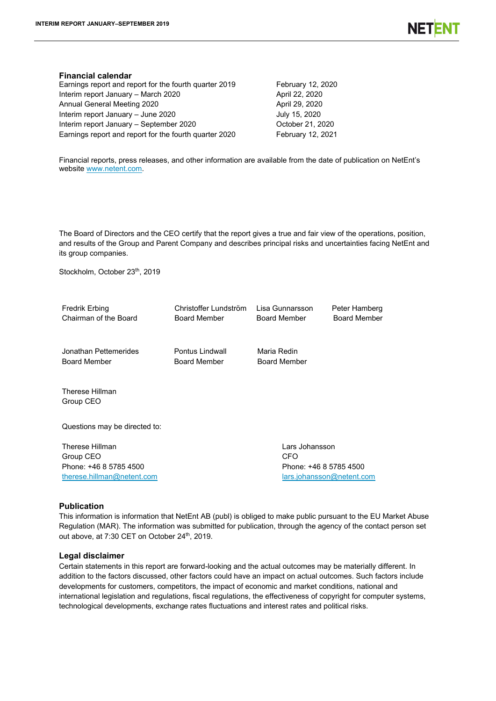## **Financial calendar**

Earnings report and report for the fourth quarter 2019 February 12, 2020 Interim report January – March 2020 April 22, 2020 Annual General Meeting 2020 April 29, 2020 Interim report January – June 2020 July 15, 2020 Interim report January – September 2020 October 21, 2020 Earnings report and report for the fourth quarter 2020 February 12, 2021

Financial reports, press releases, and other information are available from the date of publication on NetEnt's website [www.netent.com.](file://office.necorp.dom/departments$/Investor-Relations/private/IR/IR/Kvartalsrapporter/2016/Q2/www.netent.com)

The Board of Directors and the CEO certify that the report gives a true and fair view of the operations, position, and results of the Group and Parent Company and describes principal risks and uncertainties facing NetEnt and its group companies.

Stockholm, October 23<sup>th</sup>, 2019

| Fredrik Erbing                               | Christoffer Lundström                  | Lisa Gunnarsson                    | Peter Hamberg             |
|----------------------------------------------|----------------------------------------|------------------------------------|---------------------------|
| Chairman of the Board                        | <b>Board Member</b>                    | <b>Board Member</b>                | <b>Board Member</b>       |
| Jonathan Pettemerides<br><b>Board Member</b> | Pontus Lindwall<br><b>Board Member</b> | Maria Redin<br><b>Board Member</b> |                           |
| Therese Hillman<br>Group CEO                 |                                        |                                    |                           |
| Questions may be directed to:                |                                        |                                    |                           |
| <b>Therese Hillman</b>                       |                                        | Lars Johansson                     |                           |
| Group CEO                                    |                                        | CFO                                |                           |
| Phone: +46 8 5785 4500                       |                                        | Phone: +46 8 5785 4500             |                           |
| therese.hillman@netent.com                   |                                        |                                    | lars.johansson@netent.com |

## **Publication**

This information is information that NetEnt AB (publ) is obliged to make public pursuant to the EU Market Abuse Regulation (MAR). The information was submitted for publication, through the agency of the contact person set out above, at 7:30 CET on October 24<sup>th</sup>, 2019.

## **Legal disclaimer**

Certain statements in this report are forward-looking and the actual outcomes may be materially different. In addition to the factors discussed, other factors could have an impact on actual outcomes. Such factors include developments for customers, competitors, the impact of economic and market conditions, national and international legislation and regulations, fiscal regulations, the effectiveness of copyright for computer systems, technological developments, exchange rates fluctuations and interest rates and political risks.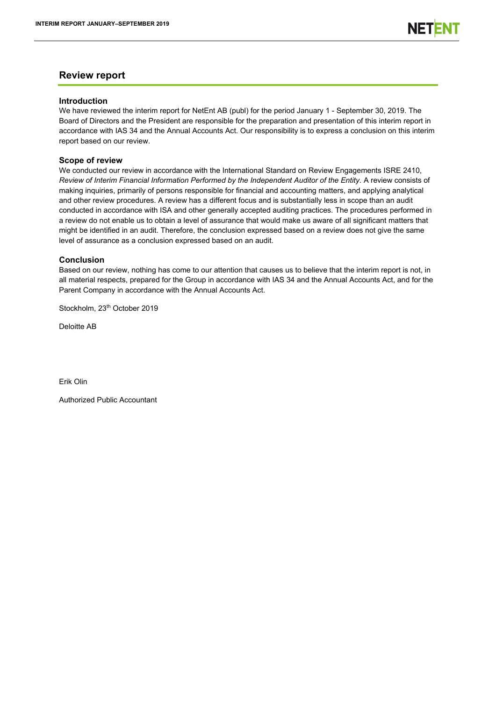## **Review report**

## **Introduction**

We have reviewed the interim report for NetEnt AB (publ) for the period January 1 - September 30, 2019. The Board of Directors and the President are responsible for the preparation and presentation of this interim report in accordance with IAS 34 and the Annual Accounts Act. Our responsibility is to express a conclusion on this interim report based on our review.

## **Scope of review**

We conducted our review in accordance with the International Standard on Review Engagements ISRE 2410, *Review of Interim Financial Information Performed by the Independent Auditor of the Entity.* A review consists of making inquiries, primarily of persons responsible for financial and accounting matters, and applying analytical and other review procedures. A review has a different focus and is substantially less in scope than an audit conducted in accordance with ISA and other generally accepted auditing practices. The procedures performed in a review do not enable us to obtain a level of assurance that would make us aware of all significant matters that might be identified in an audit. Therefore, the conclusion expressed based on a review does not give the same level of assurance as a conclusion expressed based on an audit.

## **Conclusion**

Based on our review, nothing has come to our attention that causes us to believe that the interim report is not, in all material respects, prepared for the Group in accordance with IAS 34 and the Annual Accounts Act, and for the Parent Company in accordance with the Annual Accounts Act.

Stockholm, 23<sup>th</sup> October 2019

Deloitte AB

Erik Olin

Authorized Public Accountant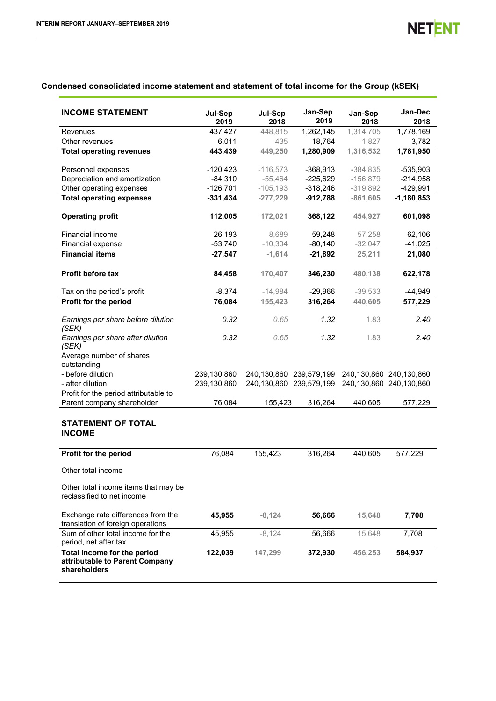## **Condensed consolidated income statement and statement of total income for the Group (kSEK)**

| <b>INCOME STATEMENT</b>                                                       | Jul-Sep<br>2019 | Jul-Sep<br>2018 | Jan-Sep<br>2019         | Jan-Sep<br>2018 | Jan-Dec<br>2018         |
|-------------------------------------------------------------------------------|-----------------|-----------------|-------------------------|-----------------|-------------------------|
| Revenues                                                                      | 437,427         | 448,815         | 1,262,145               | 1,314,705       | 1,778,169               |
| Other revenues                                                                | 6,011           | 435             | 18,764                  | 1,827           | 3,782                   |
| <b>Total operating revenues</b>                                               | 443,439         | 449,250         | 1,280,909               | 1,316,532       | 1,781,950               |
| Personnel expenses                                                            | $-120,423$      | $-116,573$      | $-368,913$              | $-384,835$      | -535,903                |
| Depreciation and amortization                                                 | $-84,310$       | $-55,464$       | $-225,629$              | $-156,879$      | $-214,958$              |
| Other operating expenses                                                      | $-126,701$      | $-105,193$      | $-318,246$              | $-319,892$      | $-429,991$              |
| <b>Total operating expenses</b>                                               | $-331,434$      | $-277,229$      | $-912,788$              | $-861,605$      | $-1,180,853$            |
| <b>Operating profit</b>                                                       | 112,005         | 172,021         | 368,122                 | 454,927         | 601,098                 |
| Financial income                                                              | 26,193          | 8,689           | 59,248                  | 57,258          | 62,106                  |
| Financial expense                                                             | $-53,740$       | $-10,304$       | $-80,140$               | $-32,047$       | $-41,025$               |
| <b>Financial items</b>                                                        | $-27,547$       | $-1,614$        | $-21,892$               | 25,211          | 21,080                  |
| Profit before tax                                                             | 84,458          | 170,407         | 346,230                 | 480,138         | 622,178                 |
| Tax on the period's profit                                                    | $-8,374$        | $-14,984$       | $-29,966$               | $-39,533$       | -44,949                 |
| Profit for the period                                                         | 76,084          | 155,423         | 316,264                 | 440,605         | 577,229                 |
| Earnings per share before dilution<br>(SEK)                                   | 0.32            | 0.65            | 1.32                    | 1.83            | 2.40                    |
| Earnings per share after dilution<br>(SEK)                                    | 0.32            | 0.65            | 1.32                    | 1.83            | 2.40                    |
| Average number of shares<br>outstanding                                       |                 |                 |                         |                 |                         |
| - before dilution                                                             | 239,130,860     |                 | 240,130,860 239,579,199 |                 | 240,130,860 240,130,860 |
| - after dilution                                                              | 239,130,860     |                 | 240,130,860 239,579,199 |                 | 240,130,860 240,130,860 |
| Profit for the period attributable to                                         |                 |                 |                         |                 |                         |
| Parent company shareholder                                                    | 76,084          | 155,423         | 316,264                 | 440,605         | 577,229                 |
| <b>STATEMENT OF TOTAL</b><br><b>INCOME</b>                                    |                 |                 |                         |                 |                         |
| Profit for the period                                                         | 76,084          | 155,423         | 316,264                 | 440,605         | 577,229                 |
| Other total income                                                            |                 |                 |                         |                 |                         |
| Other total income items that may be<br>reclassified to net income            |                 |                 |                         |                 |                         |
| Exchange rate differences from the<br>translation of foreign operations       | 45,955          | $-8,124$        | 56,666                  | 15,648          | 7,708                   |
| Sum of other total income for the<br>period, net after tax                    | 45,955          | $-8,124$        | 56,666                  | 15,648          | 7,708                   |
| Total income for the period<br>attributable to Parent Company<br>shareholders | 122,039         | 147,299         | 372,930                 | 456,253         | 584,937                 |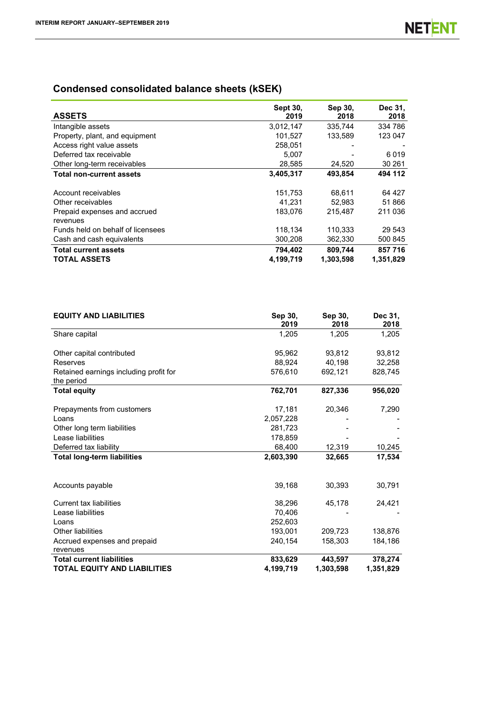# **Condensed consolidated balance sheets (kSEK)**

| <b>ASSETS</b>                     | <b>Sept 30.</b><br>2019 | Sep 30,<br>2018 | Dec 31,<br>2018 |
|-----------------------------------|-------------------------|-----------------|-----------------|
| Intangible assets                 | 3,012,147               | 335.744         | 334 786         |
| Property, plant, and equipment    | 101,527                 | 133.589         | 123 047         |
| Access right value assets         | 258,051                 | -               |                 |
| Deferred tax receivable           | 5,007                   |                 | 6019            |
| Other long-term receivables       | 28,585                  | 24,520          | 30 261          |
| <b>Total non-current assets</b>   | 3,405,317               | 493.854         | 494 112         |
|                                   |                         |                 |                 |
| Account receivables               | 151,753                 | 68,611          | 64 427          |
| Other receivables                 | 41.231                  | 52.983          | 51 866          |
| Prepaid expenses and accrued      | 183,076                 | 215.487         | 211 036         |
| revenues                          |                         |                 |                 |
| Funds held on behalf of licensees | 118,134                 | 110,333         | 29 543          |
| Cash and cash equivalents         | 300,208                 | 362,330         | 500 845         |
| <b>Total current assets</b>       | 794,402                 | 809,744         | 857 716         |
| <b>TOTAL ASSETS</b>               | 4,199,719               | 1,303,598       | 1,351,829       |

| <b>EQUITY AND LIABILITIES</b>                        | Sep 30,<br>2019 | Sep 30,<br>2018 | Dec 31.<br>2018 |
|------------------------------------------------------|-----------------|-----------------|-----------------|
| Share capital                                        | 1,205           | 1,205           | 1,205           |
| Other capital contributed                            | 95,962          | 93,812          | 93,812          |
| Reserves                                             | 88,924          | 40,198          | 32,258          |
| Retained earnings including profit for<br>the period | 576,610         | 692,121         | 828,745         |
| <b>Total equity</b>                                  | 762,701         | 827,336         | 956,020         |
| Prepayments from customers                           | 17,181          | 20,346          | 7,290           |
| Loans                                                | 2,057,228       |                 |                 |
| Other long term liabilities                          | 281,723         |                 |                 |
| Lease liabilities                                    | 178,859         |                 |                 |
| Deferred tax liability                               | 68,400          | 12,319          | 10,245          |
| <b>Total long-term liabilities</b>                   | 2,603,390       | 32,665          | 17,534          |
| Accounts payable                                     | 39,168          | 30,393          | 30,791          |
| <b>Current tax liabilities</b>                       | 38,296          | 45,178          | 24,421          |
| Lease liabilities                                    | 70,406          |                 |                 |
| Loans                                                | 252,603         |                 |                 |
| Other liabilities                                    | 193,001         | 209,723         | 138,876         |
| Accrued expenses and prepaid<br>revenues             | 240.154         | 158,303         | 184,186         |
| <b>Total current liabilities</b>                     | 833,629         | 443,597         | 378,274         |
| <b>TOTAL EQUITY AND LIABILITIES</b>                  | 4,199,719       | 1,303,598       | 1,351,829       |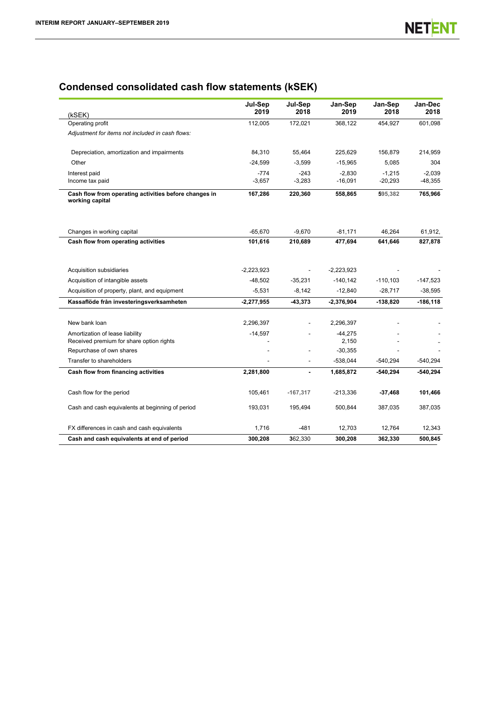# **Condensed consolidated cash flow statements (kSEK)**

| (kSEK)                                                                      | Jul-Sep<br>2019    | Jul-Sep<br>2018    | Jan-Sep<br>2019       | Jan-Sep<br>2018       | Jan-Dec<br>2018       |
|-----------------------------------------------------------------------------|--------------------|--------------------|-----------------------|-----------------------|-----------------------|
| Operating profit                                                            | 112,005            | 172,021            | 368,122               | 454,927               | 601,098               |
| Adjustment for items not included in cash flows:                            |                    |                    |                       |                       |                       |
| Depreciation, amortization and impairments                                  | 84,310             | 55,464             | 225,629               | 156,879               | 214,959               |
| Other                                                                       | $-24,599$          | $-3,599$           | $-15,965$             | 5,085                 | 304                   |
| Interest paid<br>Income tax paid                                            | $-774$<br>$-3,657$ | $-243$<br>$-3,283$ | $-2,830$<br>$-16,091$ | $-1,215$<br>$-20,293$ | $-2,039$<br>$-48,355$ |
| Cash flow from operating activities before changes in<br>working capital    | 167,286            | 220,360            | 558,865               | 595,382               | 765,966               |
| Changes in working capital                                                  | $-65.670$          | $-9.670$           | $-81.171$             | 46.264                | 61,912,               |
| Cash flow from operating activities                                         | 101,616            | 210,689            | 477,694               | 641,646               | 827,878               |
| Acquisition subsidiaries                                                    | $-2,223,923$       |                    | $-2,223,923$          |                       |                       |
| Acquisition of intangible assets                                            | $-48,502$          | $-35,231$          | $-140, 142$           | $-110, 103$           | $-147,523$            |
| Acquisition of property, plant, and equipment                               | $-5,531$           | $-8,142$           | $-12,840$             | $-28,717$             | $-38,595$             |
| Kassaflöde från investeringsverksamheten                                    | $-2,277,955$       | -43,373            | $-2,376,904$          | -138,820              | $-186, 118$           |
| New bank loan                                                               | 2,296,397          |                    | 2,296,397             |                       |                       |
| Amortization of lease liability<br>Received premium for share option rights | $-14,597$          |                    | $-44,275$<br>2,150    |                       |                       |
| Repurchase of own shares                                                    |                    |                    | $-30,355$             |                       |                       |
| Transfer to shareholders                                                    |                    |                    | $-538,044$            | $-540,294$            | $-540,294$            |
| Cash flow from financing activities                                         | 2,281,800          |                    | 1,685,872             | $-540,294$            | $-540,294$            |
| Cash flow for the period                                                    | 105,461            | $-167,317$         | $-213,336$            | $-37,468$             | 101,466               |
| Cash and cash equivalents at beginning of period                            | 193,031            | 195,494            | 500,844               | 387,035               | 387,035               |
| FX differences in cash and cash equivalents                                 | 1,716              | $-481$             | 12,703                | 12,764                | 12,343                |
| Cash and cash equivalents at end of period                                  | 300,208            | 362,330            | 300,208               | 362,330               | 500,845               |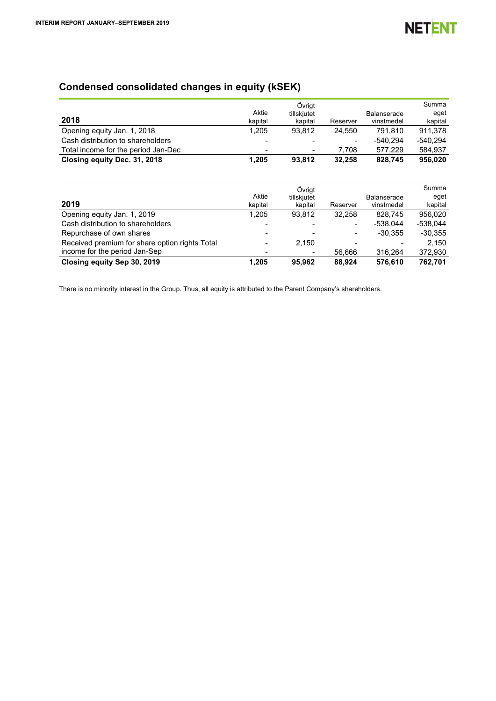# **Condensed consolidated changes in equity (kSEK)**

| 2018                                | Aktie<br>kapital         | Övrigt<br>tillskjutet<br>kapital | Reserver                 | <b>Balanserade</b><br>vinstmedel | Summa<br>eget<br>kapital |
|-------------------------------------|--------------------------|----------------------------------|--------------------------|----------------------------------|--------------------------|
| Opening equity Jan. 1, 2018         | 1.205                    | 93.812                           | 24.550                   | 791.810                          | 911.378                  |
| Cash distribution to shareholders   | $\overline{\phantom{0}}$ | $\,$                             | $\overline{\phantom{0}}$ | $-540.294$                       | -540.294                 |
| Total income for the period Jan-Dec |                          | $\blacksquare$                   | 7.708                    | 577.229                          | 584.937                  |
| Closing equity Dec. 31, 2018        | 1.205                    | 93.812                           | 32.258                   | 828.745                          | 956,020                  |

|                                                |         | Övrigt                   |          |             | Summa      |
|------------------------------------------------|---------|--------------------------|----------|-------------|------------|
|                                                | Aktie   | tillskjutet              |          | Balanserade | eget       |
| 2019                                           | kapital | kapital                  | Reserver | vinstmedel  | kapital    |
| Opening equity Jan. 1, 2019                    | 1.205   | 93.812                   | 32.258   | 828.745     | 956.020    |
| Cash distribution to shareholders              |         |                          |          | $-538.044$  | $-538.044$ |
| Repurchase of own shares                       |         | $\overline{\phantom{0}}$ | -        | $-30.355$   | $-30.355$  |
| Received premium for share option rights Total |         | 2.150                    |          |             | 2.150      |
| income for the period Jan-Sep                  |         |                          | 56.666   | 316.264     | 372,930    |
| Closing equity Sep 30, 2019                    | 1.205   | 95.962                   | 88.924   | 576.610     | 762.701    |

There is no minority interest in the Group. Thus, all equity is attributed to the Parent Company's shareholders.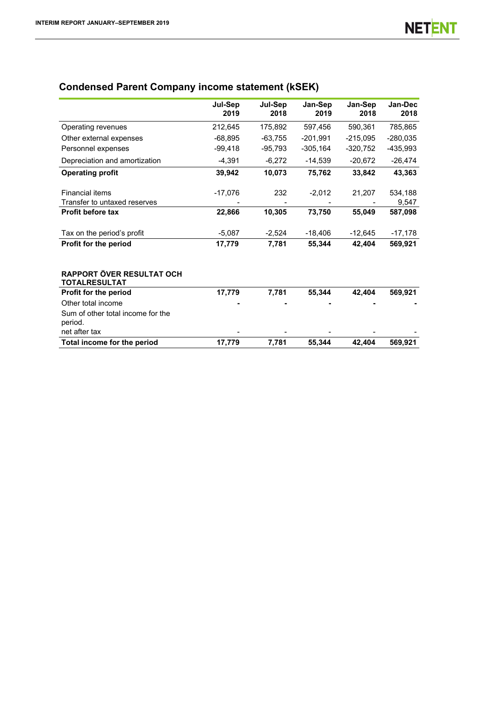# **Condensed Parent Company income statement (kSEK)**

|                                                               | Jul-Sep<br>2019 | Jul-Sep<br>2018 | Jan-Sep<br>2019 | Jan-Sep<br>2018 | Jan-Dec<br>2018  |
|---------------------------------------------------------------|-----------------|-----------------|-----------------|-----------------|------------------|
| Operating revenues                                            | 212,645         | 175,892         | 597,456         | 590,361         | 785,865          |
| Other external expenses                                       | $-68,895$       | $-63,755$       | $-201,991$      | $-215,095$      | $-280,035$       |
| Personnel expenses                                            | $-99,418$       | $-95,793$       | $-305, 164$     | $-320,752$      | -435,993         |
| Depreciation and amortization                                 | $-4,391$        | $-6,272$        | $-14,539$       | $-20,672$       | $-26,474$        |
| <b>Operating profit</b>                                       | 39,942          | 10,073          | 75,762          | 33,842          | 43,363           |
| <b>Financial items</b><br>Transfer to untaxed reserves        | $-17,076$       | 232             | $-2,012$        | 21,207          | 534,188<br>9,547 |
| Profit before tax                                             | 22,866          | 10,305          | 73,750          | 55,049          | 587,098          |
| Tax on the period's profit                                    | $-5,087$        | $-2,524$        | $-18,406$       | $-12,645$       | $-17,178$        |
| Profit for the period                                         | 17,779          | 7,781           | 55,344          | 42,404          | 569,921          |
| RAPPORT ÖVER RESULTAT OCH<br><b>TOTALRESULTAT</b>             |                 |                 |                 |                 |                  |
| Profit for the period                                         | 17,779          | 7,781           | 55,344          | 42,404          | 569,921          |
| Other total income                                            |                 |                 |                 |                 |                  |
| Sum of other total income for the<br>period.<br>net after tax |                 |                 |                 |                 |                  |
| Total income for the period                                   | 17,779          | 7,781           | 55,344          | 42,404          | 569,921          |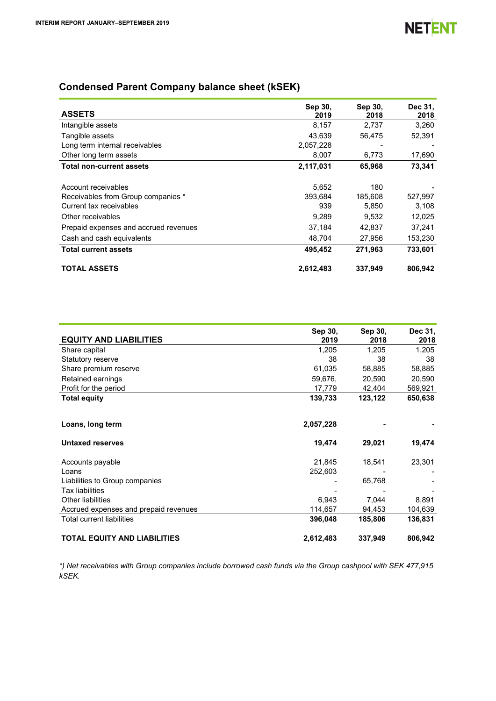# **Condensed Parent Company balance sheet (kSEK)**

| <b>ASSETS</b>                         | Sep 30,<br>2019 | Sep 30,<br>2018 | Dec 31,<br>2018 |
|---------------------------------------|-----------------|-----------------|-----------------|
| Intangible assets                     | 8,157           | 2,737           | 3,260           |
| Tangible assets                       | 43,639          | 56,475          | 52,391          |
| Long term internal receivables        | 2,057,228       |                 |                 |
| Other long term assets                | 8,007           | 6,773           | 17,690          |
| <b>Total non-current assets</b>       | 2,117,031       | 65,968          | 73,341          |
| Account receivables                   | 5,652           | 180             |                 |
| Receivables from Group companies *    | 393.684         | 185,608         | 527,997         |
| Current tax receivables               | 939             | 5,850           | 3,108           |
| Other receivables                     | 9,289           | 9,532           | 12,025          |
| Prepaid expenses and accrued revenues | 37,184          | 42.837          | 37,241          |
| Cash and cash equivalents             | 48,704          | 27,956          | 153,230         |
| <b>Total current assets</b>           | 495,452         | 271,963         | 733.601         |
| <b>TOTAL ASSETS</b>                   | 2,612,483       | 337,949         | 806,942         |

|                                       | Sep 30,   | Sep 30, | Dec 31, |
|---------------------------------------|-----------|---------|---------|
| <b>EQUITY AND LIABILITIES</b>         | 2019      | 2018    | 2018    |
| Share capital                         | 1,205     | 1,205   | 1,205   |
| Statutory reserve                     | 38        | 38      | 38      |
| Share premium reserve                 | 61,035    | 58,885  | 58,885  |
| Retained earnings                     | 59,676.   | 20,590  | 20,590  |
| Profit for the period                 | 17,779    | 42,404  | 569,921 |
| <b>Total equity</b>                   | 139,733   | 123,122 | 650,638 |
|                                       |           |         |         |
| Loans, long term                      | 2,057,228 |         |         |
|                                       |           |         |         |
| <b>Untaxed reserves</b>               | 19,474    | 29,021  | 19,474  |
| Accounts payable                      | 21,845    | 18,541  | 23,301  |
| Loans                                 | 252,603   |         |         |
|                                       |           |         |         |
| Liabilities to Group companies        |           | 65,768  |         |
| <b>Tax liabilities</b>                |           |         |         |
| <b>Other liabilities</b>              | 6,943     | 7,044   | 8,891   |
| Accrued expenses and prepaid revenues | 114,657   | 94,453  | 104,639 |
| <b>Total current liabilities</b>      | 396,048   | 185,806 | 136,831 |
| <b>TOTAL EQUITY AND LIABILITIES</b>   | 2,612,483 | 337,949 | 806,942 |

*\*) Net receivables with Group companies include borrowed cash funds via the Group cashpool with SEK 477,915 kSEK.*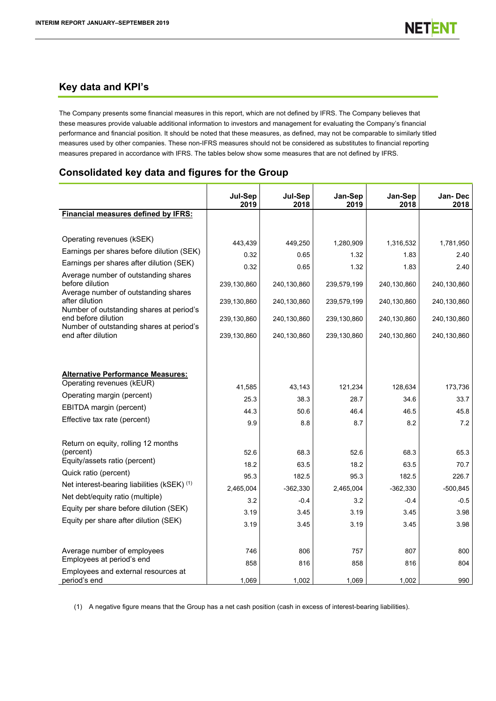# **Key data and KPI's**

The Company presents some financial measures in this report, which are not defined by IFRS. The Company believes that these measures provide valuable additional information to investors and management for evaluating the Company's financial performance and financial position. It should be noted that these measures, as defined, may not be comparable to similarly titled measures used by other companies. These non-IFRS measures should not be considered as substitutes to financial reporting measures prepared in accordance with IFRS. The tables below show some measures that are not defined by IFRS.

# **Consolidated key data and figures for the Group**

|                                                                 | Jul-Sep<br>2019 | Jul-Sep<br>2018 | Jan-Sep<br>2019 | Jan-Sep<br>2018 | Jan-Dec<br>2018 |
|-----------------------------------------------------------------|-----------------|-----------------|-----------------|-----------------|-----------------|
| Financial measures defined by IFRS:                             |                 |                 |                 |                 |                 |
|                                                                 |                 |                 |                 |                 |                 |
| Operating revenues (kSEK)                                       | 443,439         | 449,250         | 1,280,909       | 1,316,532       | 1,781,950       |
| Earnings per shares before dilution (SEK)                       | 0.32            | 0.65            | 1.32            | 1.83            | 2.40            |
| Earnings per shares after dilution (SEK)                        | 0.32            | 0.65            | 1.32            | 1.83            | 2.40            |
| Average number of outstanding shares                            |                 |                 |                 |                 |                 |
| before dilution                                                 | 239,130,860     | 240,130,860     | 239,579,199     | 240,130,860     | 240,130,860     |
| Average number of outstanding shares<br>after dilution          | 239,130,860     | 240,130,860     | 239,579,199     | 240,130,860     | 240,130,860     |
| Number of outstanding shares at period's                        |                 |                 |                 |                 |                 |
| end before dilution<br>Number of outstanding shares at period's | 239,130,860     | 240,130,860     | 239,130,860     | 240,130,860     | 240,130,860     |
| end after dilution                                              | 239,130,860     | 240,130,860     | 239,130,860     | 240,130,860     | 240,130,860     |
|                                                                 |                 |                 |                 |                 |                 |
|                                                                 |                 |                 |                 |                 |                 |
| <b>Alternative Performance Measures:</b>                        |                 |                 |                 |                 |                 |
| Operating revenues (kEUR)                                       | 41,585          | 43,143          | 121,234         | 128,634         | 173,736         |
| Operating margin (percent)                                      | 25.3            | 38.3            | 28.7            | 34.6            | 33.7            |
| EBITDA margin (percent)                                         | 44.3            | 50.6            | 46.4            | 46.5            | 45.8            |
| Effective tax rate (percent)                                    | 9.9             | 8.8             | 8.7             | 8.2             | 7.2             |
|                                                                 |                 |                 |                 |                 |                 |
| Return on equity, rolling 12 months                             |                 |                 |                 |                 |                 |
| (percent)                                                       | 52.6            | 68.3            | 52.6            | 68.3            | 65.3            |
| Equity/assets ratio (percent)                                   | 18.2            | 63.5            | 18.2            | 63.5            | 70.7            |
| Quick ratio (percent)                                           | 95.3            | 182.5           | 95.3            | 182.5           | 226.7           |
| Net interest-bearing liabilities (kSEK) (1)                     | 2,465,004       | $-362,330$      | 2,465,004       | $-362,330$      | $-500,845$      |
| Net debt/equity ratio (multiple)                                | 3.2             | $-0.4$          | 3.2             | $-0.4$          | $-0.5$          |
| Equity per share before dilution (SEK)                          | 3.19            | 3.45            | 3.19            | 3.45            | 3.98            |
| Equity per share after dilution (SEK)                           | 3.19            | 3.45            | 3.19            | 3.45            | 3.98            |
|                                                                 |                 |                 |                 |                 |                 |
| Average number of employees                                     | 746             | 806             | 757             | 807             | 800             |
| Employees at period's end                                       | 858             | 816             | 858             | 816             | 804             |
| Employees and external resources at                             |                 |                 |                 |                 |                 |
| period's end                                                    | 1,069           | 1,002           | 1,069           | 1,002           | 990             |

(1) A negative figure means that the Group has a net cash position (cash in excess of interest-bearing liabilities).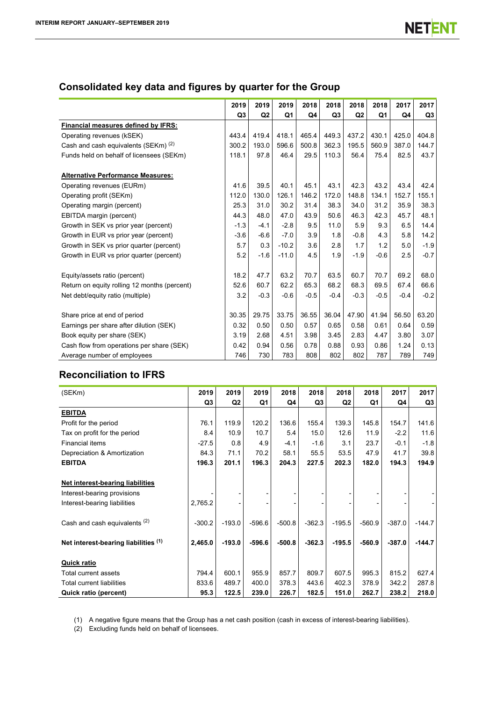# **Consolidated key data and figures by quarter for the Group**

|                                                 | 2019           | 2019           | 2019    | 2018   | 2018           | 2018           | 2018   | 2017   | 2017   |
|-------------------------------------------------|----------------|----------------|---------|--------|----------------|----------------|--------|--------|--------|
|                                                 | Q <sub>3</sub> | Q <sub>2</sub> | Q1      | Q4     | Q <sub>3</sub> | Q <sub>2</sub> | Q1     | Q4     | Q3     |
| Financial measures defined by IFRS:             |                |                |         |        |                |                |        |        |        |
| Operating revenues (kSEK)                       | 443.4          | 419.4          | 418.1   | 465.4  | 449.3          | 437.2          | 430.1  | 425.0  | 404.8  |
| Cash and cash equivalents (SEKm) <sup>(2)</sup> | 300.2          | 193.0          | 596.6   | 500.8  | 362.3          | 195.5          | 560.9  | 387.0  | 144.7  |
| Funds held on behalf of licensees (SEKm)        | 118.1          | 97.8           | 46.4    | 29.5   | 110.3          | 56.4           | 75.4   | 82.5   | 43.7   |
| <b>Alternative Performance Measures:</b>        |                |                |         |        |                |                |        |        |        |
| Operating revenues (EURm)                       | 41.6           | 39.5           | 40.1    | 45.1   | 43.1           | 42.3           | 43.2   | 43.4   | 42.4   |
| Operating profit (SEKm)                         | 112.0          | 130.0          | 126.1   | 146.2  | 172.0          | 148.8          | 134.1  | 152.7  | 155.1  |
| Operating margin (percent)                      | 25.3           | 31.0           | 30.2    | 31.4   | 38.3           | 34.0           | 31.2   | 35.9   | 38.3   |
| EBITDA margin (percent)                         | 44.3           | 48.0           | 47.0    | 43.9   | 50.6           | 46.3           | 42.3   | 45.7   | 48.1   |
| Growth in SEK vs prior year (percent)           | $-1.3$         | $-4.1$         | $-2.8$  | 9.5    | 11.0           | 5.9            | 9.3    | 6.5    | 14.4   |
| Growth in EUR vs prior year (percent)           | $-3.6$         | $-6.6$         | $-7.0$  | 3.9    | 1.8            | $-0.8$         | 4.3    | 5.8    | 14.2   |
| Growth in SEK vs prior quarter (percent)        | 5.7            | 0.3            | $-10.2$ | 3.6    | 2.8            | 1.7            | 1.2    | 5.0    | $-1.9$ |
| Growth in EUR vs prior quarter (percent)        | 5.2            | $-1.6$         | $-11.0$ | 4.5    | 1.9            | $-1.9$         | $-0.6$ | 2.5    | $-0.7$ |
| Equity/assets ratio (percent)                   | 18.2           | 47.7           | 63.2    | 70.7   | 63.5           | 60.7           | 70.7   | 69.2   | 68.0   |
| Return on equity rolling 12 months (percent)    | 52.6           | 60.7           | 62.2    | 65.3   | 68.2           | 68.3           | 69.5   | 67.4   | 66.6   |
| Net debt/equity ratio (multiple)                | 3.2            | $-0.3$         | $-0.6$  | $-0.5$ | $-0.4$         | $-0.3$         | $-0.5$ | $-0.4$ | $-0.2$ |
| Share price at end of period                    | 30.35          | 29.75          | 33.75   | 36.55  | 36.04          | 47.90          | 41.94  | 56.50  | 63.20  |
| Earnings per share after dilution (SEK)         | 0.32           | 0.50           | 0.50    | 0.57   | 0.65           | 0.58           | 0.61   | 0.64   | 0.59   |
| Book equity per share (SEK)                     | 3.19           | 2.68           | 4.51    | 3.98   | 3.45           | 2.83           | 4.47   | 3.80   | 3.07   |
| Cash flow from operations per share (SEK)       | 0.42           | 0.94           | 0.56    | 0.78   | 0.88           | 0.93           | 0.86   | 1.24   | 0.13   |
| Average number of employees                     | 746            | 730            | 783     | 808    | 802            | 802            | 787    | 789    | 749    |

# **Reconciliation to IFRS**

| (SEKm)                               | 2019           | 2019           | 2019     | 2018     | 2018           | 2018           | 2018     | 2017     | 2017     |
|--------------------------------------|----------------|----------------|----------|----------|----------------|----------------|----------|----------|----------|
|                                      | Q <sub>3</sub> | Q <sub>2</sub> | Q1       | Q4       | Q <sub>3</sub> | Q <sub>2</sub> | Q1       | Q4       | Q3       |
| <b>EBITDA</b>                        |                |                |          |          |                |                |          |          |          |
| Profit for the period                | 76.1           | 119.9          | 120.2    | 136.6    | 155.4          | 139.3          | 145.8    | 154.7    | 141.6    |
| Tax on profit for the period         | 8.4            | 10.9           | 10.7     | 5.4      | 15.0           | 12.6           | 11.9     | $-2.2$   | 11.6     |
| <b>Financial items</b>               | $-27.5$        | 0.8            | 4.9      | $-4.1$   | $-1.6$         | 3.1            | 23.7     | $-0.1$   | $-1.8$   |
| Depreciation & Amortization          | 84.3           | 71.1           | 70.2     | 58.1     | 55.5           | 53.5           | 47.9     | 41.7     | 39.8     |
| <b>EBITDA</b>                        | 196.3          | 201.1          | 196.3    | 204.3    | 227.5          | 202.3          | 182.0    | 194.3    | 194.9    |
|                                      |                |                |          |          |                |                |          |          |          |
| Net interest-bearing liabilities     |                |                |          |          |                |                |          |          |          |
| Interest-bearing provisions          |                |                |          |          |                |                |          |          |          |
| Interest-bearing liabilities         | 2,765.2        |                |          |          |                |                |          |          |          |
|                                      |                |                |          |          |                |                |          |          |          |
| Cash and cash equivalents (2)        | $-300.2$       | $-193.0$       | $-596.6$ | $-500.8$ | $-362.3$       | $-195.5$       | $-560.9$ | $-387.0$ | $-144.7$ |
|                                      |                |                |          |          |                |                |          |          |          |
| Net interest-bearing liabilities (1) | 2,465.0        | $-193.0$       | $-596.6$ | $-500.8$ | $-362.3$       | $-195.5$       | $-560.9$ | $-387.0$ | $-144.7$ |
|                                      |                |                |          |          |                |                |          |          |          |
| <b>Quick ratio</b>                   |                |                |          |          |                |                |          |          |          |
| <b>Total current assets</b>          | 794.4          | 600.1          | 955.9    | 857.7    | 809.7          | 607.5          | 995.3    | 815.2    | 627.4    |
| Total current liabilities            | 833.6          | 489.7          | 400.0    | 378.3    | 443.6          | 402.3          | 378.9    | 342.2    | 287.8    |
| Quick ratio (percent)                | 95.3           | 122.5          | 239.0    | 226.7    | 182.5          | 151.0          | 262.7    | 238.2    | 218.0    |

(1) A negative figure means that the Group has a net cash position (cash in excess of interest-bearing liabilities).

(2) Excluding funds held on behalf of licensees.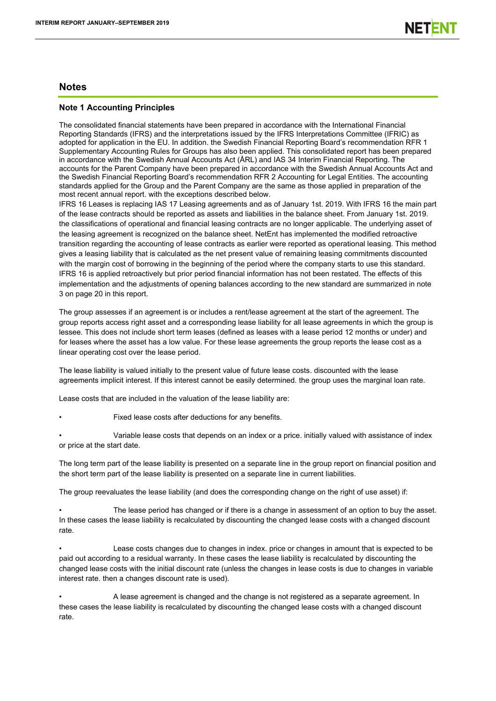## **Notes**

## **Note 1 Accounting Principles**

The consolidated financial statements have been prepared in accordance with the International Financial Reporting Standards (IFRS) and the interpretations issued by the IFRS Interpretations Committee (IFRIC) as adopted for application in the EU. In addition. the Swedish Financial Reporting Board's recommendation RFR 1 Supplementary Accounting Rules for Groups has also been applied. This consolidated report has been prepared in accordance with the Swedish Annual Accounts Act (ÅRL) and IAS 34 Interim Financial Reporting. The accounts for the Parent Company have been prepared in accordance with the Swedish Annual Accounts Act and the Swedish Financial Reporting Board's recommendation RFR 2 Accounting for Legal Entities. The accounting standards applied for the Group and the Parent Company are the same as those applied in preparation of the most recent annual report. with the exceptions described below.

IFRS 16 Leases is replacing IAS 17 Leasing agreements and as of January 1st. 2019. With IFRS 16 the main part of the lease contracts should be reported as assets and liabilities in the balance sheet. From January 1st. 2019. the classifications of operational and financial leasing contracts are no longer applicable. The underlying asset of the leasing agreement is recognized on the balance sheet. NetEnt has implemented the modified retroactive transition regarding the accounting of lease contracts as earlier were reported as operational leasing. This method gives a leasing liability that is calculated as the net present value of remaining leasing commitments discounted with the margin cost of borrowing in the beginning of the period where the company starts to use this standard. IFRS 16 is applied retroactively but prior period financial information has not been restated. The effects of this implementation and the adjustments of opening balances according to the new standard are summarized in note 3 on page 20 in this report.

The group assesses if an agreement is or includes a rent/lease agreement at the start of the agreement. The group reports access right asset and a corresponding lease liability for all lease agreements in which the group is lessee. This does not include short term leases (defined as leases with a lease period 12 months or under) and for leases where the asset has a low value. For these lease agreements the group reports the lease cost as a linear operating cost over the lease period.

The lease liability is valued initially to the present value of future lease costs. discounted with the lease agreements implicit interest. If this interest cannot be easily determined. the group uses the marginal loan rate.

Lease costs that are included in the valuation of the lease liability are:

- Fixed lease costs after deductions for any benefits.
- Variable lease costs that depends on an index or a price. initially valued with assistance of index or price at the start date.

The long term part of the lease liability is presented on a separate line in the group report on financial position and the short term part of the lease liability is presented on a separate line in current liabilities.

The group reevaluates the lease liability (and does the corresponding change on the right of use asset) if:

The lease period has changed or if there is a change in assessment of an option to buy the asset. In these cases the lease liability is recalculated by discounting the changed lease costs with a changed discount rate.

- Lease costs changes due to changes in index. price or changes in amount that is expected to be paid out according to a residual warranty. In these cases the lease liability is recalculated by discounting the changed lease costs with the initial discount rate (unless the changes in lease costs is due to changes in variable interest rate. then a changes discount rate is used).
- A lease agreement is changed and the change is not registered as a separate agreement. In these cases the lease liability is recalculated by discounting the changed lease costs with a changed discount rate.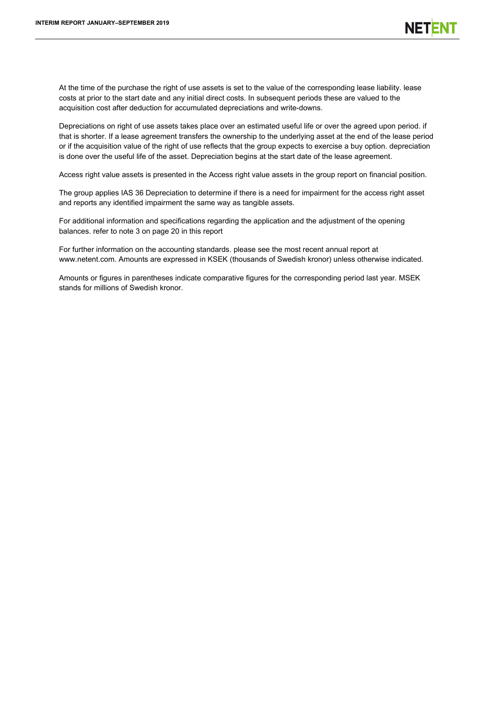At the time of the purchase the right of use assets is set to the value of the corresponding lease liability. lease costs at prior to the start date and any initial direct costs. In subsequent periods these are valued to the acquisition cost after deduction for accumulated depreciations and write-downs.

Depreciations on right of use assets takes place over an estimated useful life or over the agreed upon period. if that is shorter. If a lease agreement transfers the ownership to the underlying asset at the end of the lease period or if the acquisition value of the right of use reflects that the group expects to exercise a buy option. depreciation is done over the useful life of the asset. Depreciation begins at the start date of the lease agreement.

Access right value assets is presented in the Access right value assets in the group report on financial position.

The group applies IAS 36 Depreciation to determine if there is a need for impairment for the access right asset and reports any identified impairment the same way as tangible assets.

For additional information and specifications regarding the application and the adjustment of the opening balances. refer to note 3 on page 20 in this report

For further information on the accounting standards. please see the most recent annual report at www.netent.com. Amounts are expressed in KSEK (thousands of Swedish kronor) unless otherwise indicated.

Amounts or figures in parentheses indicate comparative figures for the corresponding period last year. MSEK stands for millions of Swedish kronor.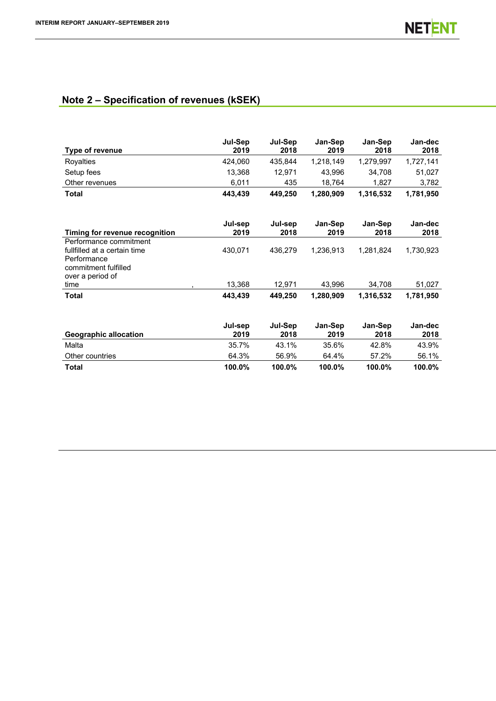# **Note 2 – Specification of revenues (kSEK)**

| Type of revenue                                                                                                   | Jul-Sep<br>2019 | Jul-Sep<br>2018 | Jan-Sep<br>2019 | Jan-Sep<br>2018 | Jan-dec<br>2018 |
|-------------------------------------------------------------------------------------------------------------------|-----------------|-----------------|-----------------|-----------------|-----------------|
| Royalties                                                                                                         | 424,060         | 435,844         | 1,218,149       | 1,279,997       | 1,727,141       |
| Setup fees                                                                                                        | 13,368          | 12,971          | 43,996          | 34,708          | 51,027          |
| Other revenues                                                                                                    | 6,011           | 435             | 18,764          | 1,827           | 3,782           |
| Total                                                                                                             | 443,439         | 449,250         | 1,280,909       | 1,316,532       | 1,781,950       |
| Timing for revenue recognition                                                                                    | Jul-sep<br>2019 | Jul-sep<br>2018 | Jan-Sep<br>2019 | Jan-Sep<br>2018 | Jan-dec<br>2018 |
| Performance commitment<br>fullfilled at a certain time<br>Performance<br>commitment fulfilled<br>over a period of | 430,071         | 436,279         | 1,236,913       | 1,281,824       | 1,730,923       |
| time                                                                                                              | 13,368          | 12,971          | 43,996          | 34,708          | 51,027          |
| <b>Total</b>                                                                                                      | 443,439         | 449,250         | 1,280,909       | 1,316,532       | 1,781,950       |
| <b>Geographic allocation</b>                                                                                      | Jul-sep<br>2019 | Jul-Sep<br>2018 | Jan-Sep<br>2019 | Jan-Sep<br>2018 | Jan-dec<br>2018 |
| Malta                                                                                                             | 35.7%           | 43.1%           | 35.6%           | 42.8%           | 43.9%           |
| Other countries                                                                                                   | 64.3%           | 56.9%           | 64.4%           | 57.2%           | 56.1%           |
| <b>Total</b>                                                                                                      | 100.0%          | 100.0%          | 100.0%          | 100.0%          | 100.0%          |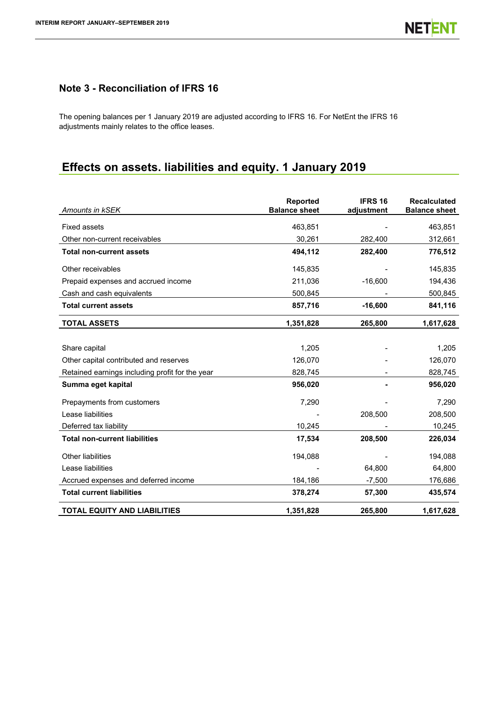# **Note 3 - Reconciliation of IFRS 16**

The opening balances per 1 January 2019 are adjusted according to IFRS 16. For NetEnt the IFRS 16 adjustments mainly relates to the office leases.

# **Effects on assets. liabilities and equity. 1 January 2019**

| Amounts in kSEK                                 | Reported<br><b>Balance sheet</b> | <b>IFRS 16</b><br>adjustment | <b>Recalculated</b><br><b>Balance sheet</b> |
|-------------------------------------------------|----------------------------------|------------------------------|---------------------------------------------|
| <b>Fixed assets</b>                             | 463,851                          |                              | 463,851                                     |
| Other non-current receivables                   | 30,261                           | 282,400                      | 312,661                                     |
| <b>Total non-current assets</b>                 | 494,112                          | 282,400                      | 776,512                                     |
| Other receivables                               | 145,835                          |                              | 145,835                                     |
| Prepaid expenses and accrued income             | 211,036                          | $-16,600$                    | 194,436                                     |
| Cash and cash equivalents                       | 500,845                          |                              | 500,845                                     |
| <b>Total current assets</b>                     | 857,716                          | $-16,600$                    | 841,116                                     |
| <b>TOTAL ASSETS</b>                             | 1,351,828                        | 265,800                      | 1,617,628                                   |
|                                                 |                                  |                              |                                             |
| Share capital                                   | 1,205                            |                              | 1,205                                       |
| Other capital contributed and reserves          | 126,070                          |                              | 126,070                                     |
| Retained earnings including profit for the year | 828,745                          |                              | 828,745                                     |
| Summa eget kapital                              | 956,020                          |                              | 956,020                                     |
| Prepayments from customers                      | 7,290                            |                              | 7,290                                       |
| Lease liabilities                               |                                  | 208,500                      | 208,500                                     |
| Deferred tax liability                          | 10,245                           |                              | 10,245                                      |
| <b>Total non-current liabilities</b>            | 17,534                           | 208,500                      | 226,034                                     |
| <b>Other liabilities</b>                        | 194,088                          |                              | 194,088                                     |
| Lease liabilities                               |                                  | 64,800                       | 64,800                                      |
| Accrued expenses and deferred income            | 184,186                          | $-7,500$                     | 176,686                                     |
| <b>Total current liabilities</b>                | 378,274                          | 57,300                       | 435,574                                     |
| <b>TOTAL EQUITY AND LIABILITIES</b>             | 1,351,828                        | 265,800                      | 1,617,628                                   |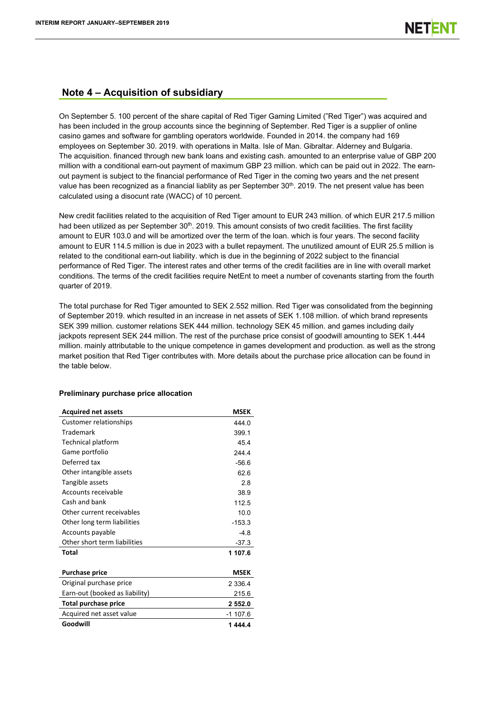## **Note 4 – Acquisition of subsidiary**

On September 5. 100 percent of the share capital of Red Tiger Gaming Limited ("Red Tiger") was acquired and has been included in the group accounts since the beginning of September. Red Tiger is a supplier of online casino games and software for gambling operators worldwide. Founded in 2014. the company had 169 employees on September 30. 2019. with operations in Malta. Isle of Man. Gibraltar. Alderney and Bulgaria. The acquisition. financed through new bank loans and existing cash. amounted to an enterprise value of GBP 200 million with a conditional earn-out payment of maximum GBP 23 million. which can be paid out in 2022. The earnout payment is subject to the financial performance of Red Tiger in the coming two years and the net present value has been recognized as a financial liablity as per September 30<sup>th</sup>. 2019. The net present value has been calculated using a disocunt rate (WACC) of 10 percent.

New credit facilities related to the acquisition of Red Tiger amount to EUR 243 million. of which EUR 217.5 million had been utilized as per September 30<sup>th</sup>. 2019. This amount consists of two credit facilities. The first facility amount to EUR 103.0 and will be amortized over the term of the loan. which is four years. The second facility amount to EUR 114.5 million is due in 2023 with a bullet repayment. The unutilized amount of EUR 25.5 million is related to the conditional earn-out liability. which is due in the beginning of 2022 subject to the financial performance of Red Tiger. The interest rates and other terms of the credit facilities are in line with overall market conditions. The terms of the credit facilities require NetEnt to meet a number of covenants starting from the fourth quarter of 2019.

The total purchase for Red Tiger amounted to SEK 2.552 million. Red Tiger was consolidated from the beginning of September 2019. which resulted in an increase in net assets of SEK 1.108 million. of which brand represents SEK 399 million. customer relations SEK 444 million. technology SEK 45 million. and games including daily jackpots represent SEK 244 million. The rest of the purchase price consist of goodwill amounting to SEK 1.444 million. mainly attributable to the unique competence in games development and production. as well as the strong market position that Red Tiger contributes with. More details about the purchase price allocation can be found in the table below.

| <b>Acquired net assets</b>     | <b>MSEK</b> |
|--------------------------------|-------------|
| <b>Customer relationships</b>  | 444 0       |
| <b>Trademark</b>               | 399.1       |
| <b>Technical platform</b>      | 45.4        |
| Game portfolio                 | 2444        |
| Deferred tax                   | $-56.6$     |
| Other intangible assets        | 62.6        |
| Tangible assets                | 2.8         |
| Accounts receivable            | 38.9        |
| Cash and bank                  | 112.5       |
| Other current receivables      | 10.0        |
| Other long term liabilities    | $-153.3$    |
| Accounts payable               | $-4.8$      |
| Other short term liabilities   | $-37.3$     |
| Total                          | 1 107.6     |
| <b>Purchase price</b>          | <b>MSEK</b> |
| Original purchase price        | 2 3 3 6.4   |
| Earn-out (booked as liability) | 215.6       |
| <b>Total purchase price</b>    | 2 552.0     |
| Acquired net asset value       | $-1$ 107.6  |
| Goodwill                       | 1444.4      |

## **Preliminary purchase price allocation**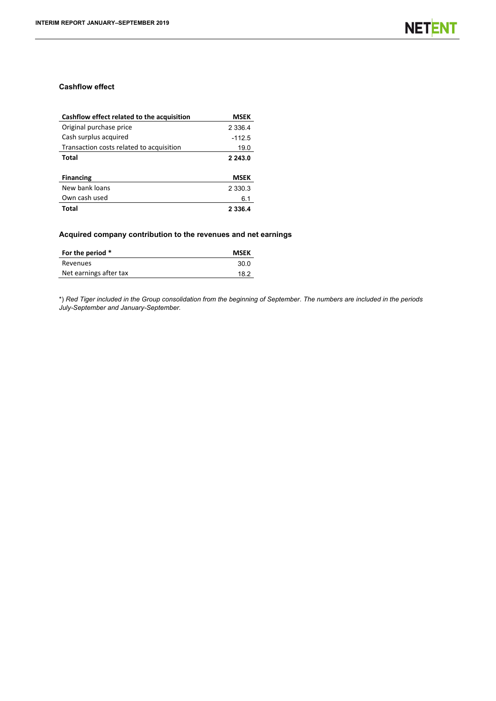## **Cashflow effect**

| Cashflow effect related to the acquisition | MSEK        |
|--------------------------------------------|-------------|
| Original purchase price                    | 2 3 3 6.4   |
| Cash surplus acquired                      | $-112.5$    |
| Transaction costs related to acquisition   | 19.0        |
| Total                                      | 2 2 4 3 .0  |
| <b>Financing</b>                           | <b>MSEK</b> |
| New bank loans                             | 2 3 3 0 . 3 |
| Own cash used                              | 6.1         |
| Total                                      | 2 3 3 6 . 4 |

## **Acquired company contribution to the revenues and net earnings**

| For the period *       | <b>MSEK</b> |
|------------------------|-------------|
| Revenues               | 30.0        |
| Net earnings after tax | 18.2        |
|                        |             |

\*) *Red Tiger included in the Group consolidation from the beginning of September. The numbers are included in the periods July-September and January-September.*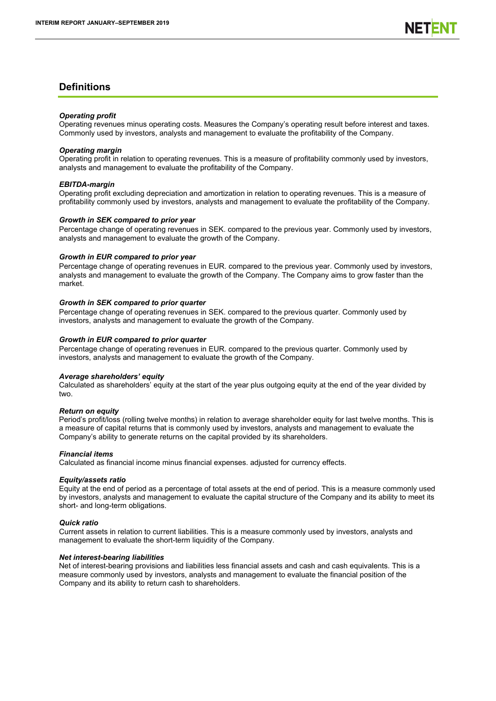## **Definitions**

#### *Operating profit*

Operating revenues minus operating costs. Measures the Company's operating result before interest and taxes. Commonly used by investors, analysts and management to evaluate the profitability of the Company.

#### *Operating margin*

Operating profit in relation to operating revenues. This is a measure of profitability commonly used by investors, analysts and management to evaluate the profitability of the Company.

#### *EBITDA-margin*

Operating profit excluding depreciation and amortization in relation to operating revenues. This is a measure of profitability commonly used by investors, analysts and management to evaluate the profitability of the Company.

#### *Growth in SEK compared to prior year*

Percentage change of operating revenues in SEK. compared to the previous year. Commonly used by investors, analysts and management to evaluate the growth of the Company.

#### *Growth in EUR compared to prior year*

Percentage change of operating revenues in EUR. compared to the previous year. Commonly used by investors, analysts and management to evaluate the growth of the Company. The Company aims to grow faster than the market.

#### *Growth in SEK compared to prior quarter*

Percentage change of operating revenues in SEK. compared to the previous quarter. Commonly used by investors, analysts and management to evaluate the growth of the Company.

#### *Growth in EUR compared to prior quarter*

Percentage change of operating revenues in EUR. compared to the previous quarter. Commonly used by investors, analysts and management to evaluate the growth of the Company.

#### *Average shareholders' equity*

Calculated as shareholders' equity at the start of the year plus outgoing equity at the end of the year divided by two.

#### *Return on equity*

Period's profit/loss (rolling twelve months) in relation to average shareholder equity for last twelve months. This is a measure of capital returns that is commonly used by investors, analysts and management to evaluate the Company's ability to generate returns on the capital provided by its shareholders.

## *Financial items*

Calculated as financial income minus financial expenses. adjusted for currency effects.

## *Equity/assets ratio*

Equity at the end of period as a percentage of total assets at the end of period. This is a measure commonly used by investors, analysts and management to evaluate the capital structure of the Company and its ability to meet its short- and long-term obligations.

## *Quick ratio*

Current assets in relation to current liabilities. This is a measure commonly used by investors, analysts and management to evaluate the short-term liquidity of the Company.

#### *Net interest-bearing liabilities*

Net of interest-bearing provisions and liabilities less financial assets and cash and cash equivalents. This is a measure commonly used by investors, analysts and management to evaluate the financial position of the Company and its ability to return cash to shareholders.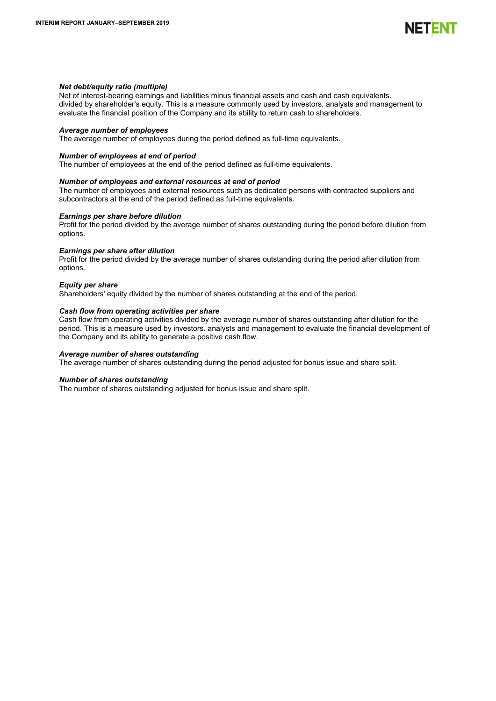#### *Net debt/equity ratio (multiple)*

Net of interest-bearing earnings and liabilities minus financial assets and cash and cash equivalents. divided by shareholder's equity. This is a measure commonly used by investors, analysts and management to evaluate the financial position of the Company and its ability to return cash to shareholders.

#### *Average number of employees*

The average number of employees during the period defined as full-time equivalents.

#### *Number of employees at end of period*

The number of employees at the end of the period defined as full-time equivalents.

#### *Number of employees and external resources at end of period*

The number of employees and external resources such as dedicated persons with contracted suppliers and subcontractors at the end of the period defined as full-time equivalents.

#### *Earnings per share before dilution*

Profit for the period divided by the average number of shares outstanding during the period before dilution from options.

#### *Earnings per share after dilution*

Profit for the period divided by the average number of shares outstanding during the period after dilution from options.

#### *Equity per share*

Shareholders' equity divided by the number of shares outstanding at the end of the period.

#### *Cash flow from operating activities per share*

Cash flow from operating activities divided by the average number of shares outstanding after dilution for the period. This is a measure used by investors. analysts and management to evaluate the financial development of the Company and its ability to generate a positive cash flow.

#### *Average number of shares outstanding*

The average number of shares outstanding during the period adjusted for bonus issue and share split.

#### *Number of shares outstanding*

The number of shares outstanding adjusted for bonus issue and share split.